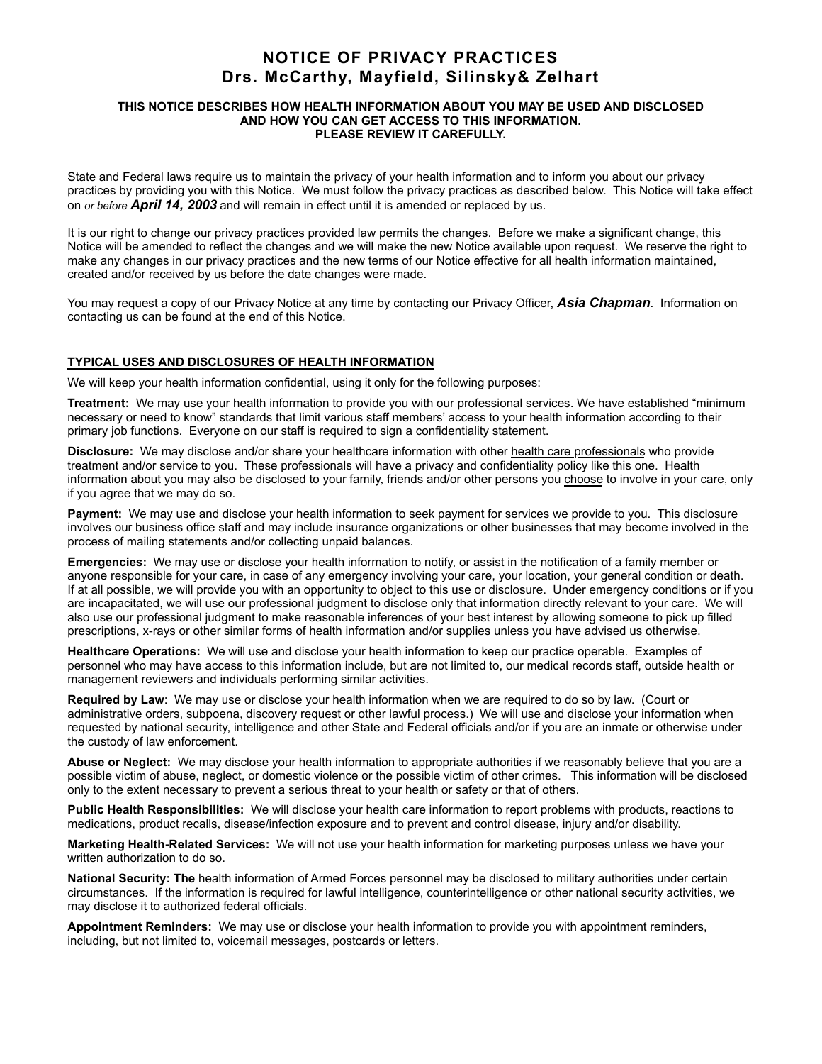# **NOTICE OF PRIVACY PRACTICES Drs. McCarthy, Mayfield, Silinsky& Zelhart**

#### **THIS NOTICE DESCRIBES HOW HEALTH INFORMATION ABOUT YOU MAY BE USED AND DISCLOSED AND HOW YOU CAN GET ACCESS TO THIS INFORMATION. PLEASE REVIEW IT CAREFULLY.**

State and Federal laws require us to maintain the privacy of your health information and to inform you about our privacy practices by providing you with this Notice. We must follow the privacy practices as described below. This Notice will take effect on *or before April 14, 2003* and will remain in effect until it is amended or replaced by us.

It is our right to change our privacy practices provided law permits the changes. Before we make a significant change, this Notice will be amended to reflect the changes and we will make the new Notice available upon request. We reserve the right to make any changes in our privacy practices and the new terms of our Notice effective for all health information maintained, created and/or received by us before the date changes were made.

You may request a copy of our Privacy Notice at any time by contacting our Privacy Officer, *Asia Chapman*. Information on contacting us can be found at the end of this Notice.

## **TYPICAL USES AND DISCLOSURES OF HEALTH INFORMATION**

We will keep your health information confidential, using it only for the following purposes:

**Treatment:** We may use your health information to provide you with our professional services. We have established "minimum necessary or need to know" standards that limit various staff members' access to your health information according to their primary job functions. Everyone on our staff is required to sign a confidentiality statement.

**Disclosure:** We may disclose and/or share your healthcare information with other health care professionals who provide treatment and/or service to you. These professionals will have a privacy and confidentiality policy like this one. Health information about you may also be disclosed to your family, friends and/or other persons you choose to involve in your care, only if you agree that we may do so.

**Payment:** We may use and disclose your health information to seek payment for services we provide to you. This disclosure involves our business office staff and may include insurance organizations or other businesses that may become involved in the process of mailing statements and/or collecting unpaid balances.

**Emergencies:** We may use or disclose your health information to notify, or assist in the notification of a family member or anyone responsible for your care, in case of any emergency involving your care, your location, your general condition or death. If at all possible, we will provide you with an opportunity to object to this use or disclosure. Under emergency conditions or if you are incapacitated, we will use our professional judgment to disclose only that information directly relevant to your care. We will also use our professional judgment to make reasonable inferences of your best interest by allowing someone to pick up filled prescriptions, x-rays or other similar forms of health information and/or supplies unless you have advised us otherwise.

**Healthcare Operations:** We will use and disclose your health information to keep our practice operable. Examples of personnel who may have access to this information include, but are not limited to, our medical records staff, outside health or management reviewers and individuals performing similar activities.

**Required by Law**: We may use or disclose your health information when we are required to do so by law. (Court or administrative orders, subpoena, discovery request or other lawful process.) We will use and disclose your information when requested by national security, intelligence and other State and Federal officials and/or if you are an inmate or otherwise under the custody of law enforcement.

**Abuse or Neglect:** We may disclose your health information to appropriate authorities if we reasonably believe that you are a possible victim of abuse, neglect, or domestic violence or the possible victim of other crimes. This information will be disclosed only to the extent necessary to prevent a serious threat to your health or safety or that of others.

**Public Health Responsibilities:** We will disclose your health care information to report problems with products, reactions to medications, product recalls, disease/infection exposure and to prevent and control disease, injury and/or disability.

**Marketing Health-Related Services:** We will not use your health information for marketing purposes unless we have your written authorization to do so.

**National Security: The** health information of Armed Forces personnel may be disclosed to military authorities under certain circumstances. If the information is required for lawful intelligence, counterintelligence or other national security activities, we may disclose it to authorized federal officials.

**Appointment Reminders:** We may use or disclose your health information to provide you with appointment reminders, including, but not limited to, voicemail messages, postcards or letters.